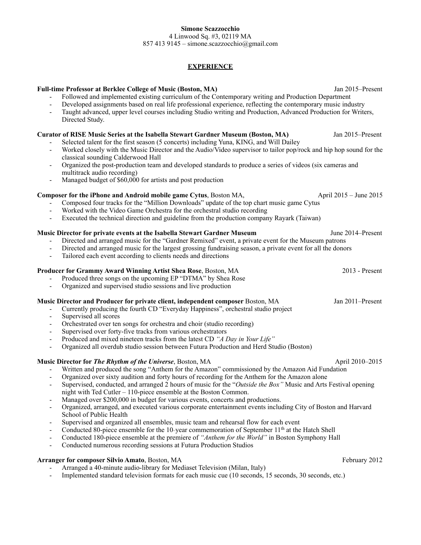### **Simone Scazzocchio** 4 Linwood Sq. #3, 02119 MA

857 413 9145 – simone.scazzocchio@gmail.com

# **EXPERIENCE**

# **Full-time Professor at Berklee College of Music (Boston, MA)** Jan 2015–Present

- Followed and implemented existing curriculum of the Contemporary writing and Production Department
- Developed assignments based on real life professional experience, reflecting the contemporary music industry
- Taught advanced, upper level courses including Studio writing and Production, Advanced Production for Writers, Directed Study.

# **Curator of RISE Music Series at the Isabella Stewart Gardner Museum (Boston, MA)** Jan 2015–Present

- Selected talent for the first season (5 concerts) including Yuna, KING, and Will Dailey
- Worked closely with the Music Director and the Audio/Video supervisor to tailor pop/rock and hip hop sound for the classical sounding Calderwood Hall
- Organized the post-production team and developed standards to produce a series of videos (six cameras and multitrack audio recording)
- Managed budget of \$60,000 for artists and post production

# **Composer for the iPhone and Android mobile game Cytus**, Boston MA, April 2015 – June 2015

- Composed four tracks for the "Million Downloads" update of the top chart music game Cytus
- Worked with the Video Game Orchestra for the orchestral studio recording
- Executed the technical direction and guideline from the production company Rayark (Taiwan)

# **Music Director for private events at the Isabella Stewart Gardner Museum June 2014–Present**

- Directed and arranged music for the "Gardner Remixed" event, a private event for the Museum patrons
- Directed and arranged music for the largest grossing fundraising season, a private event for all the donors
- Tailored each event according to clients needs and directions

# **Producer for Grammy Award Winning Artist Shea Rose**, Boston, MA 2013 - Present

- Produced three songs on the upcoming EP "DTMA" by Shea Rose
- Organized and supervised studio sessions and live production

#### **Music Director and Producer for private client, independent composer** Boston, MA Jan 2011–Present

- Currently producing the fourth CD "Everyday Happiness", orchestral studio project
- Supervised all scores
- Orchestrated over ten songs for orchestra and choir (studio recording)
- Supervised over forty-five tracks from various orchestrators
- Produced and mixed nineteen tracks from the latest CD *"A Day in Your Life"*
- Organized all overdub studio session between Futura Production and Herd Studio (Boston)

# **Music Director for** *The Rhythm of the Universe*, Boston, MA April 2010–2015

- Written and produced the song "Anthem for the Amazon" commissioned by the Amazon Aid Fundation
	- Organized over sixty audition and forty hours of recording for the Anthem for the Amazon alone
- Supervised, conducted, and arranged 2 hours of music for the "*Outside the Box"* Music and Arts Festival opening night with Ted Cutler – 110-piece ensemble at the Boston Common.
- Managed over \$200,000 in budget for various events, concerts and productions.
- Organized, arranged, and executed various corporate entertainment events including City of Boston and Harvard School of Public Health
- Supervised and organized all ensembles, music team and rehearsal flow for each event
- Conducted 80-piece ensemble for the 10-year commemoration of September  $11<sup>th</sup>$  at the Hatch Shell
- Conducted 180-piece ensemble at the premiere of *"Anthem for the World"* in Boston Symphony Hall
- Conducted numerous recording sessions at Futura Production Studios

#### **Arranger for composer Silvio Amato**, Boston, MA February 2012

- Arranged a 40-minute audio-library for Mediaset Television (Milan, Italy)
- Implemented standard television formats for each music cue (10 seconds, 15 seconds, 30 seconds, etc.)